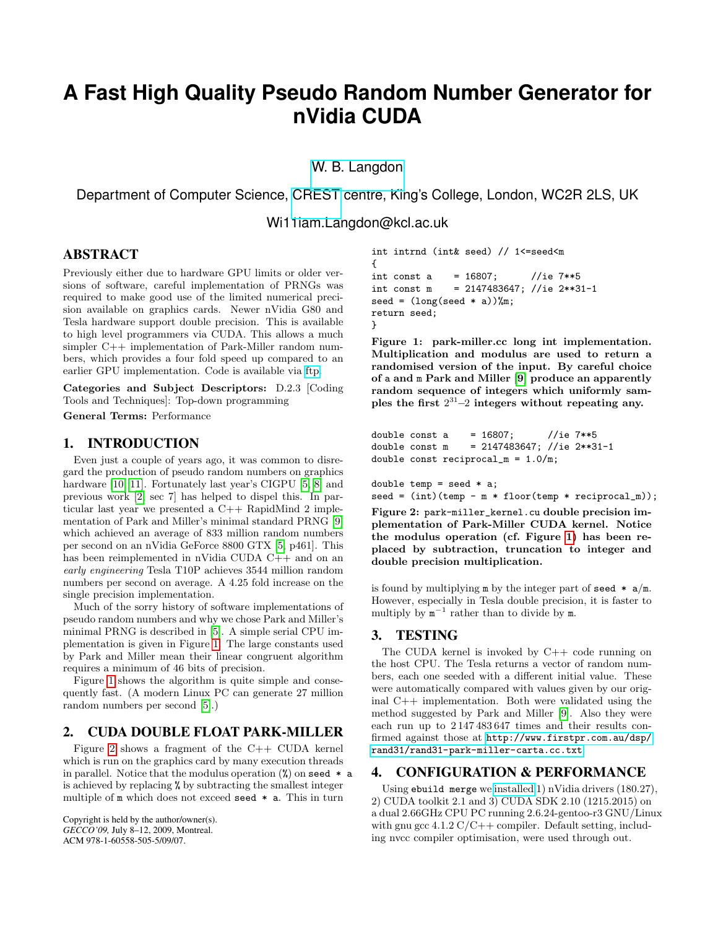# **A Fast High Quality Pseudo Random Number Generator for nVidia CUDA**

[W. B. Langdon](http://www.cs.ucl.ac.uk/staff/W.Langdon/)

# Department of Computer Science, [CREST](http://crest.dcs.kcl.ac.uk/) centre, King's College, London, WC2R 2LS, UK

Wi11iam.Langdon@kcl.ac.uk

## ABSTRACT

Previously either due to hardware GPU limits or older versions of software, careful implementation of PRNGs was required to make good use of the limited numerical precision available on graphics cards. Newer nVidia G80 and Tesla hardware support double precision. This is available to high level programmers via CUDA. This allows a much simpler C++ implementation of Park-Miller random numbers, which provides a four fold speed up compared to an earlier GPU implementation. Code is available via [ftp.](http://www.cs.ucl.ac.uk/staff/W.Langdon/ftp/gp-code/random-numbers/cuda_park-miller.tar.gz)

Categories and Subject Descriptors: D.2.3 [Coding Tools and Techniques]: Top-down programming

General Terms: Performance

## 1. INTRODUCTION

Even just a couple of years ago, it was common to disregard the production of pseudo random numbers on graphics hardware [\[10,](#page-2-0) [11\]](#page-2-1). Fortunately last year's CIGPU [\[5,](#page-2-2) [8\]](#page-2-3) and previous work [\[2,](#page-2-4) sec 7] has helped to dispel this. In particular last year we presented a C++ RapidMind 2 implementation of Park and Miller's minimal standard PRNG [\[9\]](#page-2-5) which achieved an average of 833 million random numbers per second on an nVidia GeForce 8800 GTX [\[5,](#page-2-2) p461]. This has been reimplemented in nVidia CUDA C++ and on an early engineering Tesla T10P achieves 3544 million random numbers per second on average. A 4.25 fold increase on the single precision implementation.

Much of the sorry history of software implementations of pseudo random numbers and why we chose Park and Miller's minimal PRNG is described in [\[5\]](#page-2-2). A simple serial CPU implementation is given in Figure [1.](#page-0-0) The large constants used by Park and Miller mean their linear congruent algorithm requires a minimum of 46 bits of precision.

Figure [1](#page-0-0) shows the algorithm is quite simple and consequently fast. (A modern Linux PC can generate 27 million random numbers per second [\[5\]](#page-2-2).)

#### 2. CUDA DOUBLE FLOAT PARK-MILLER

Figure [2](#page-0-1) shows a fragment of the C++ CUDA kernel which is run on the graphics card by many execution threads in parallel. Notice that the modulus operation  $(\%)$  on seed  $*$  a is achieved by replacing % by subtracting the smallest integer multiple of m which does not exceed seed \* a. This in turn

Copyright is held by the author/owner(s). *GECCO'09,* July 8–12, 2009, Montreal. ACM 978-1-60558-505-5/09/07.

```
int intrnd (int& seed) // 1 <= seed<m
{
int const a = 16807; //ie 7**5int const m = 2147483647; //ie 2**31-1seed = (long(seed * a))%m;
return seed;
}
```
<span id="page-0-0"></span>Figure 1: park-miller.cc long int implementation. Multiplication and modulus are used to return a randomised version of the input. By careful choice of a and m Park and Miller [\[9\]](#page-2-5) produce an apparently random sequence of integers which uniformly samples the first  $2^{31}$ -2 integers without repeating any.

```
double const a = 16807; //ie 7**5
double const m = 2147483647; //ie 2**31-1
double const reciprocal_m = 1.0/m;
```
double temp = seed  $*$  a;

seed = (int)(temp - m \* floor(temp \* reciprocal\_m));

<span id="page-0-1"></span>Figure 2: park-miller\_kernel.cu double precision implementation of Park-Miller CUDA kernel. Notice the modulus operation (cf. Figure [1\)](#page-0-0) has been replaced by subtraction, truncation to integer and double precision multiplication.

is found by multiplying m by the integer part of seed  $* a/m$ . However, especially in Tesla double precision, it is faster to multiply by  $m^{-1}$  rather than to divide by m.

# 3. TESTING

The CUDA kernel is invoked by C++ code running on the host CPU. The Tesla returns a vector of random numbers, each one seeded with a different initial value. These were automatically compared with values given by our original C++ implementation. Both were validated using the method suggested by Park and Miller [\[9\]](#page-2-5). Also they were each run up to 2 147 483 647 times and their results confirmed against those at [http://www.firstpr.com.au/dsp/](http://www.firstpr.com.au/dsp/rand31/rand31-park-miller-carta.cc.txt) [rand31/rand31-park-miller-carta.cc.txt](http://www.firstpr.com.au/dsp/rand31/rand31-park-miller-carta.cc.txt)

#### 4. CONFIGURATION & PERFORMANCE

Using ebuild merge we [installed](http://www.dcs.kcl.ac.uk/staff/W.Langdon/gentoo-cuda/) 1) nVidia drivers (180.27), 2) CUDA toolkit 2.1 and 3) CUDA SDK 2.10 (1215.2015) on a dual 2.66GHz CPU PC running 2.6.24-gentoo-r3 GNU/Linux with gnu gcc  $4.1.2 \text{ C/C++}$  compiler. Default setting, including nvcc compiler optimisation, were used through out.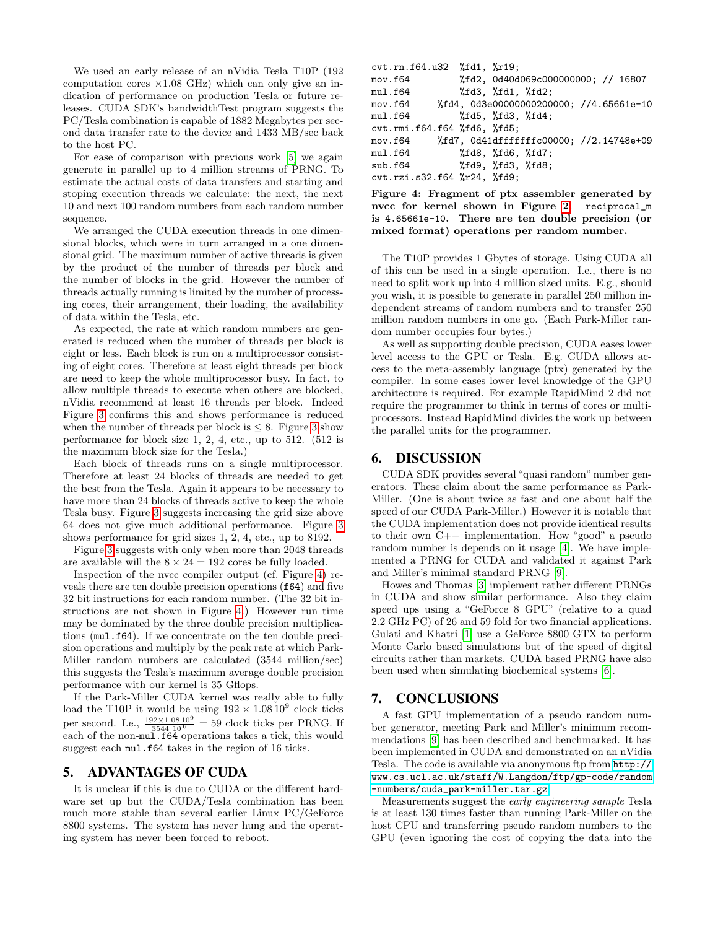We used an early release of an nVidia Tesla T10P (192 computation cores  $\times$ 1.08 GHz) which can only give an indication of performance on production Tesla or future releases. CUDA SDK's bandwidthTest program suggests the PC/Tesla combination is capable of 1882 Megabytes per second data transfer rate to the device and 1433 MB/sec back to the host PC.

For ease of comparison with previous work [\[5\]](#page-2-2) we again generate in parallel up to 4 million streams of PRNG. To estimate the actual costs of data transfers and starting and stoping execution threads we calculate: the next, the next 10 and next 100 random numbers from each random number sequence.

We arranged the CUDA execution threads in one dimensional blocks, which were in turn arranged in a one dimensional grid. The maximum number of active threads is given by the product of the number of threads per block and the number of blocks in the grid. However the number of threads actually running is limited by the number of processing cores, their arrangement, their loading, the availability of data within the Tesla, etc.

As expected, the rate at which random numbers are generated is reduced when the number of threads per block is eight or less. Each block is run on a multiprocessor consisting of eight cores. Therefore at least eight threads per block are need to keep the whole multiprocessor busy. In fact, to allow multiple threads to execute when others are blocked, nVidia recommend at least 16 threads per block. Indeed Figure [3](#page-2-6) confirms this and shows performance is reduced when the number of threads per block is  $\leq 8$ . Figure [3](#page-2-6) show performance for block size 1, 2, 4, etc., up to 512. (512 is the maximum block size for the Tesla.)

Each block of threads runs on a single multiprocessor. Therefore at least 24 blocks of threads are needed to get the best from the Tesla. Again it appears to be necessary to have more than 24 blocks of threads active to keep the whole Tesla busy. Figure [3](#page-2-6) suggests increasing the grid size above 64 does not give much additional performance. Figure [3](#page-2-6) shows performance for grid sizes 1, 2, 4, etc., up to 8192.

Figure [3](#page-2-6) suggests with only when more than 2048 threads are available will the  $8 \times 24 = 192$  cores be fully loaded.

Inspection of the nvcc compiler output (cf. Figure [4\)](#page-1-0) reveals there are ten double precision operations (f64) and five 32 bit instructions for each random number. (The 32 bit instructions are not shown in Figure [4.](#page-1-0)) However run time may be dominated by the three double precision multiplications (mul.f64). If we concentrate on the ten double precision operations and multiply by the peak rate at which Park-Miller random numbers are calculated (3544 million/sec) this suggests the Tesla's maximum average double precision performance with our kernel is 35 Gflops.

If the Park-Miller CUDA kernel was really able to fully load the T10P it would be using  $192 \times 1.0810^{9}$  clock ticks per second. I.e.,  $\frac{192 \times 1.08 \times 10^9}{3544 \times 10^6} = 59$  clock ticks per PRNG. If each of the non-mul.f64 operations takes a tick, this would suggest each mul.f64 takes in the region of 16 ticks.

### 5. ADVANTAGES OF CUDA

It is unclear if this is due to CUDA or the different hardware set up but the CUDA/Tesla combination has been much more stable than several earlier Linux PC/GeForce 8800 systems. The system has never hung and the operating system has never been forced to reboot.

| cvt.rn.f64.u32 %fd1, %r19;  |                   |                                                      |  |
|-----------------------------|-------------------|------------------------------------------------------|--|
| mov.f64                     |                   | %fd2, 0d40d069c000000000; // 16807                   |  |
| mul.f64                     | %fd3, %fd1, %fd2; |                                                      |  |
| mov.f64                     |                   | $\frac{1}{2}$ fd4, 0d3e00000000200000; //4.65661e-10 |  |
| mul.f64                     | %fd5, %fd3, %fd4; |                                                      |  |
| cvt.rmi.f64.f64 %fd6, %fd5; |                   |                                                      |  |
| mov.f64                     |                   | %fd7, 0d41dfffffffc00000; //2.14748e+09              |  |
| mul.f64                     | %fd8, %fd6, %fd7; |                                                      |  |
| sub.f64 %fd9, %fd3, %fd8;   |                   |                                                      |  |
| cvt.rzi.s32.f64 %r24, %fd9; |                   |                                                      |  |

<span id="page-1-0"></span>Figure 4: Fragment of ptx assembler generated by nvcc for kernel shown in Figure [2.](#page-0-1) reciprocal\_m is 4.65661e-10. There are ten double precision (or mixed format) operations per random number.

The T10P provides 1 Gbytes of storage. Using CUDA all of this can be used in a single operation. I.e., there is no need to split work up into 4 million sized units. E.g., should you wish, it is possible to generate in parallel 250 million independent streams of random numbers and to transfer 250 million random numbers in one go. (Each Park-Miller random number occupies four bytes.)

As well as supporting double precision, CUDA eases lower level access to the GPU or Tesla. E.g. CUDA allows access to the meta-assembly language (ptx) generated by the compiler. In some cases lower level knowledge of the GPU architecture is required. For example RapidMind 2 did not require the programmer to think in terms of cores or multiprocessors. Instead RapidMind divides the work up between the parallel units for the programmer.

## 6. DISCUSSION

CUDA SDK provides several "quasi random" number generators. These claim about the same performance as Park-Miller. (One is about twice as fast and one about half the speed of our CUDA Park-Miller.) However it is notable that the CUDA implementation does not provide identical results to their own C++ implementation. How "good" a pseudo random number is depends on it usage [\[4\]](#page-2-7). We have implemented a PRNG for CUDA and validated it against Park and Miller's minimal standard PRNG [\[9\]](#page-2-5).

Howes and Thomas [\[3\]](#page-2-8) implement rather different PRNGs in CUDA and show similar performance. Also they claim speed ups using a "GeForce 8 GPU" (relative to a quad 2.2 GHz PC) of 26 and 59 fold for two financial applications. Gulati and Khatri [\[1\]](#page-2-9) use a GeForce 8800 GTX to perform Monte Carlo based simulations but of the speed of digital circuits rather than markets. CUDA based PRNG have also been used when simulating biochemical systems [\[6\]](#page-2-10).

#### 7. CONCLUSIONS

A fast GPU implementation of a pseudo random number generator, meeting Park and Miller's minimum recommendations [\[9\]](#page-2-5) has been described and benchmarked. It has been implemented in CUDA and demonstrated on an nVidia Tesla. The code is available via anonymous ftp from [http://](http://www.cs.ucl.ac.uk/staff/W.Langdon/ftp/gp-code/random-numbers/cuda_park-miller.tar.gz) [www.cs.ucl.ac.uk/staff/W.Langdon/ftp/gp-code/random](http://www.cs.ucl.ac.uk/staff/W.Langdon/ftp/gp-code/random-numbers/cuda_park-miller.tar.gz) [-numbers/cuda\\_park-miller.tar.gz](http://www.cs.ucl.ac.uk/staff/W.Langdon/ftp/gp-code/random-numbers/cuda_park-miller.tar.gz)

Measurements suggest the early engineering sample Tesla is at least 130 times faster than running Park-Miller on the host CPU and transferring pseudo random numbers to the GPU (even ignoring the cost of copying the data into the